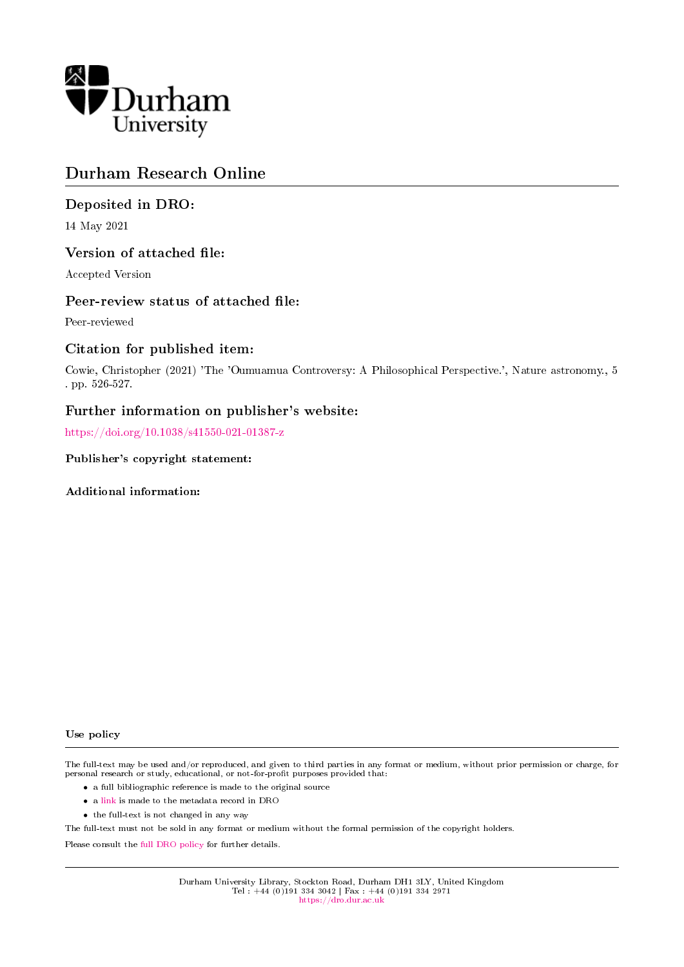

# Durham Research Online

# Deposited in DRO:

14 May 2021

# Version of attached file:

Accepted Version

# Peer-review status of attached file:

Peer-reviewed

# Citation for published item:

Cowie, Christopher (2021) 'The 'Oumuamua Controversy: A Philosophical Perspective.', Nature astronomy., 5 . pp. 526-527.

# Further information on publisher's website:

<https://doi.org/10.1038/s41550-021-01387-z>

### Publisher's copyright statement:

Additional information:

#### Use policy

The full-text may be used and/or reproduced, and given to third parties in any format or medium, without prior permission or charge, for personal research or study, educational, or not-for-profit purposes provided that:

- a full bibliographic reference is made to the original source
- a [link](http://dro.dur.ac.uk/33041/) is made to the metadata record in DRO
- the full-text is not changed in any way

The full-text must not be sold in any format or medium without the formal permission of the copyright holders.

Please consult the [full DRO policy](https://dro.dur.ac.uk/policies/usepolicy.pdf) for further details.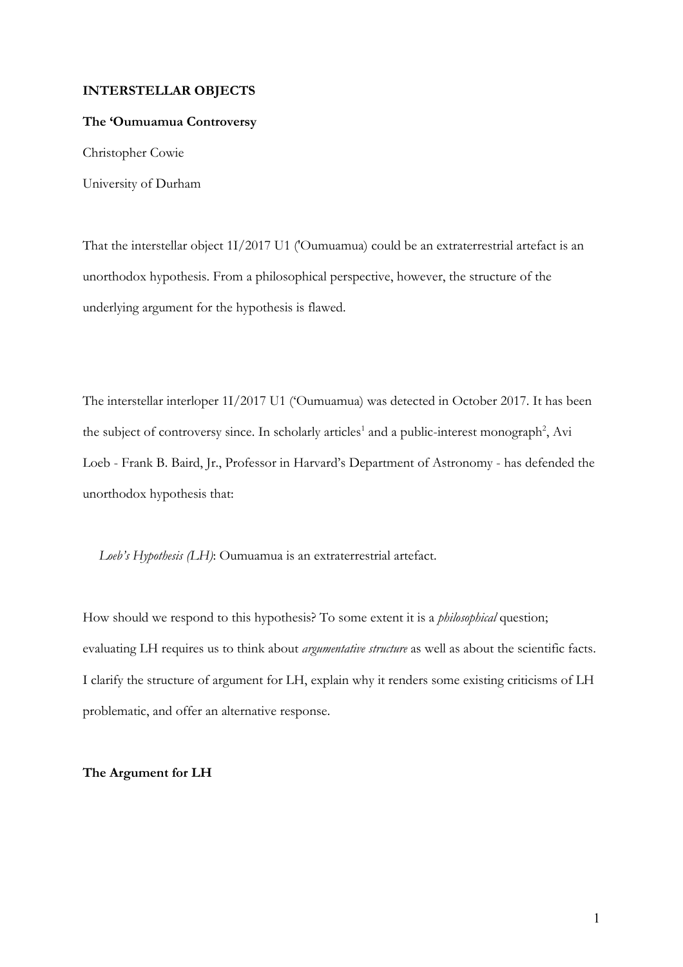### **INTERSTELLAR OBJECTS**

### **The 'Oumuamua Controversy**

Christopher Cowie University of Durham

That the interstellar object 1I/2017 U1 ('Oumuamua) could be an extraterrestrial artefact is an unorthodox hypothesis. From a philosophical perspective, however, the structure of the underlying argument for the hypothesis is flawed.

The interstellar interloper 1I/2017 U1 ('Oumuamua) was detected in October 2017. It has been the subject of controversy since. In scholarly articles<sup>1</sup> and a public-interest monograph<sup>2</sup>, Avi Loeb - Frank B. Baird, Jr., Professor in Harvard's Department of Astronomy - has defended the unorthodox hypothesis that:

*Loeb's Hypothesis (LH)*: Oumuamua is an extraterrestrial artefact.

How should we respond to this hypothesis? To some extent it is a *philosophical* question; evaluating LH requires us to think about *argumentative structure* as well as about the scientific facts. I clarify the structure of argument for LH, explain why it renders some existing criticisms of LH problematic, and offer an alternative response.

**The Argument for LH**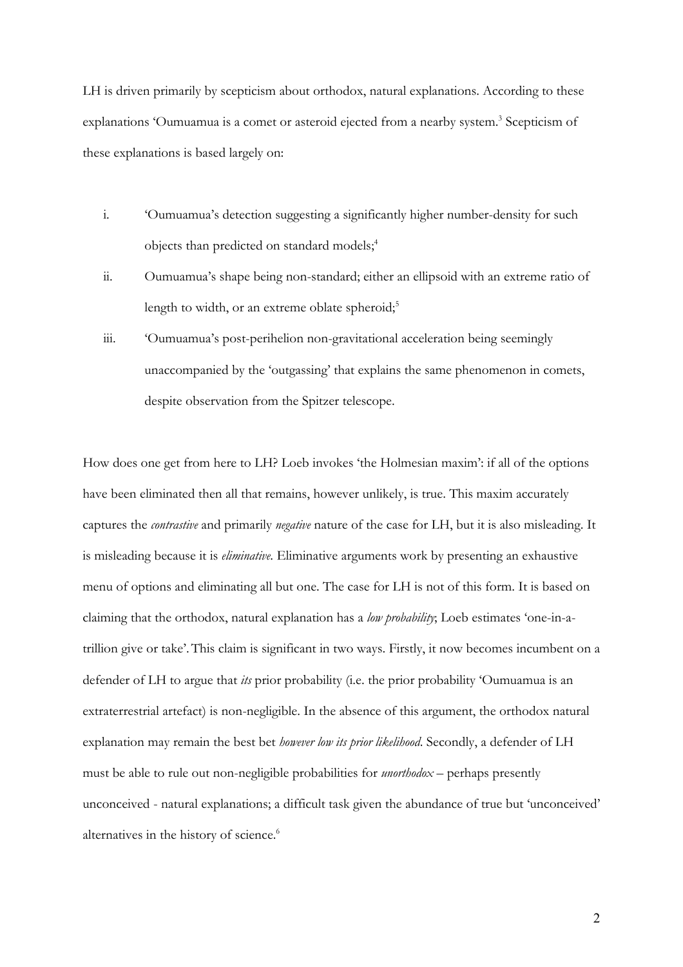LH is driven primarily by scepticism about orthodox, natural explanations. According to these explanations 'Oumuamua is a comet or asteroid ejected from a nearby system.<sup>3</sup> Scepticism of these explanations is based largely on:

- i. 'Oumuamua's detection suggesting a significantly higher number-density for such objects than predicted on standard models;<sup>4</sup>
- ii. Oumuamua's shape being non-standard; either an ellipsoid with an extreme ratio of length to width, or an extreme oblate spheroid;<sup>5</sup>
- iii. 'Oumuamua's post-perihelion non-gravitational acceleration being seemingly unaccompanied by the 'outgassing' that explains the same phenomenon in comets, despite observation from the Spitzer telescope.

How does one get from here to LH? Loeb invokes 'the Holmesian maxim': if all of the options have been eliminated then all that remains, however unlikely, is true. This maxim accurately captures the *contrastive* and primarily *negative* nature of the case for LH, but it is also misleading. It is misleading because it is *eliminative*. Eliminative arguments work by presenting an exhaustive menu of options and eliminating all but one. The case for LH is not of this form. It is based on claiming that the orthodox, natural explanation has a *low probability*; Loeb estimates 'one-in-atrillion give or take'.This claim is significant in two ways. Firstly, it now becomes incumbent on a defender of LH to argue that *its* prior probability (i.e. the prior probability 'Oumuamua is an extraterrestrial artefact) is non-negligible. In the absence of this argument, the orthodox natural explanation may remain the best bet *however low its prior likelihood*. Secondly, a defender of LH must be able to rule out non-negligible probabilities for *unorthodox* – perhaps presently unconceived - natural explanations; a difficult task given the abundance of true but 'unconceived' alternatives in the history of science.<sup>6</sup>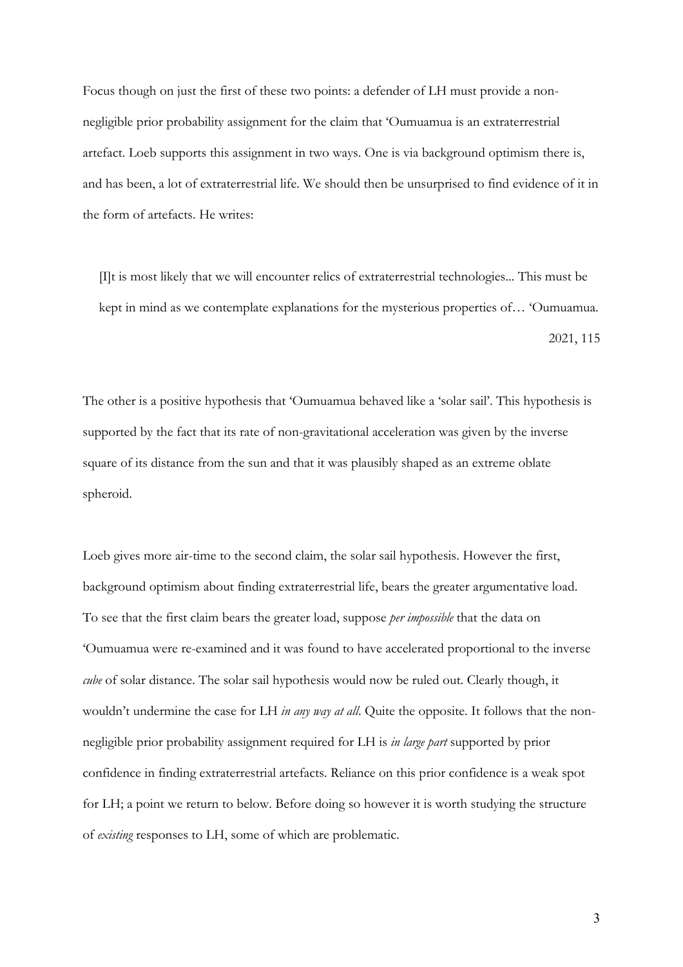Focus though on just the first of these two points: a defender of LH must provide a nonnegligible prior probability assignment for the claim that 'Oumuamua is an extraterrestrial artefact. Loeb supports this assignment in two ways. One is via background optimism there is, and has been, a lot of extraterrestrial life. We should then be unsurprised to find evidence of it in the form of artefacts. He writes:

[I]t is most likely that we will encounter relics of extraterrestrial technologies... This must be kept in mind as we contemplate explanations for the mysterious properties of… 'Oumuamua. 2021, 115

The other is a positive hypothesis that 'Oumuamua behaved like a 'solar sail'. This hypothesis is supported by the fact that its rate of non-gravitational acceleration was given by the inverse square of its distance from the sun and that it was plausibly shaped as an extreme oblate spheroid.

Loeb gives more air-time to the second claim, the solar sail hypothesis. However the first, background optimism about finding extraterrestrial life, bears the greater argumentative load. To see that the first claim bears the greater load, suppose *per impossible* that the data on 'Oumuamua were re-examined and it was found to have accelerated proportional to the inverse *cube* of solar distance. The solar sail hypothesis would now be ruled out. Clearly though, it wouldn't undermine the case for LH *in any way at all*. Quite the opposite. It follows that the nonnegligible prior probability assignment required for LH is *in large part* supported by prior confidence in finding extraterrestrial artefacts. Reliance on this prior confidence is a weak spot for LH; a point we return to below. Before doing so however it is worth studying the structure of *existing* responses to LH, some of which are problematic.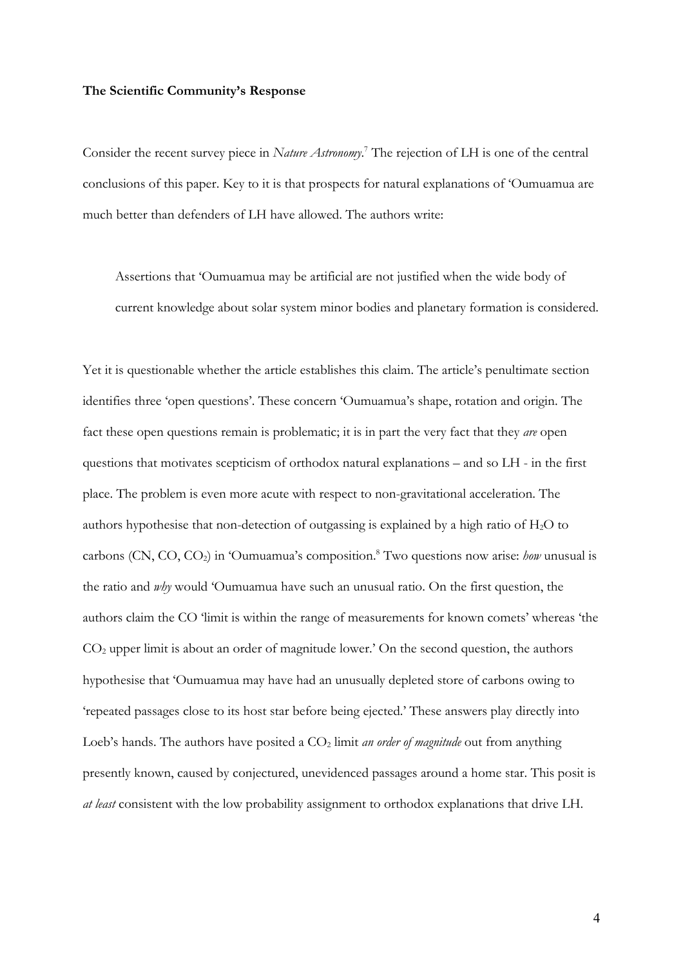#### **The Scientific Community's Response**

Consider the recent survey piece in *Nature Astronomy*. <sup>7</sup> The rejection of LH is one of the central conclusions of this paper. Key to it is that prospects for natural explanations of 'Oumuamua are much better than defenders of LH have allowed. The authors write:

Assertions that 'Oumuamua may be artificial are not justified when the wide body of current knowledge about solar system minor bodies and planetary formation is considered.

Yet it is questionable whether the article establishes this claim. The article's penultimate section identifies three 'open questions'. These concern 'Oumuamua's shape, rotation and origin. The fact these open questions remain is problematic; it is in part the very fact that they *are* open questions that motivates scepticism of orthodox natural explanations – and so LH - in the first place. The problem is even more acute with respect to non-gravitational acceleration. The authors hypothesise that non-detection of outgassing is explained by a high ratio of H2O to carbons (CN, CO, CO2) in 'Oumuamua's composition. <sup>8</sup> Two questions now arise: *how* unusual is the ratio and *why* would 'Oumuamua have such an unusual ratio. On the first question, the authors claim the CO 'limit is within the range of measurements for known comets' whereas 'the CO2 upper limit is about an order of magnitude lower.' On the second question, the authors hypothesise that 'Oumuamua may have had an unusually depleted store of carbons owing to 'repeated passages close to its host star before being ejected.' These answers play directly into Loeb's hands. The authors have posited a CO<sub>2</sub> limit *an order of magnitude* out from anything presently known, caused by conjectured, unevidenced passages around a home star. This posit is *at least* consistent with the low probability assignment to orthodox explanations that drive LH.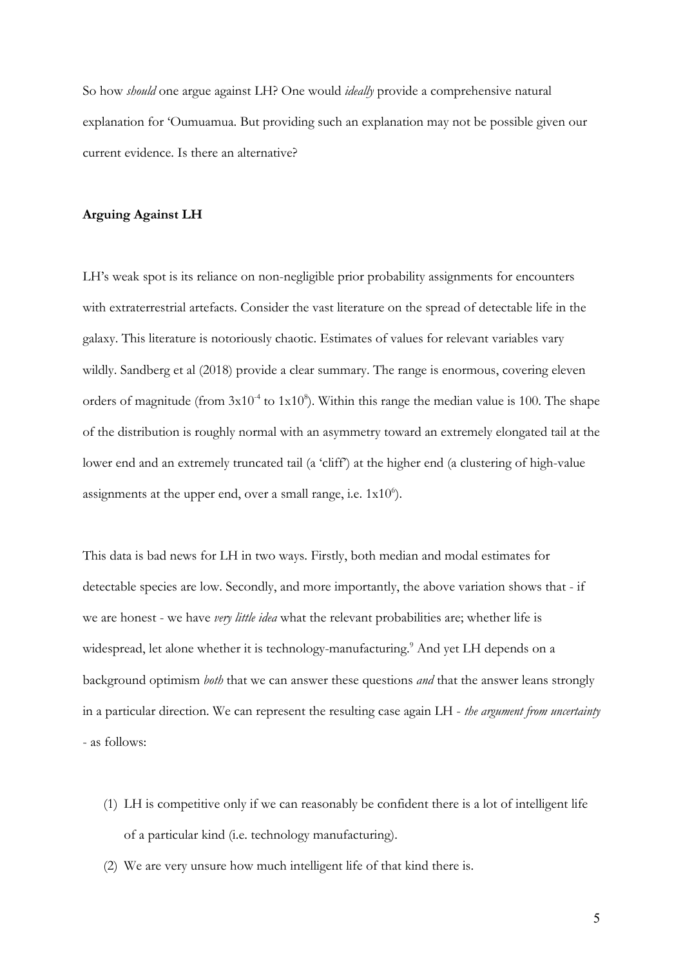So how *should* one argue against LH? One would *ideally* provide a comprehensive natural explanation for 'Oumuamua. But providing such an explanation may not be possible given our current evidence. Is there an alternative?

### **Arguing Against LH**

LH's weak spot is its reliance on non-negligible prior probability assignments for encounters with extraterrestrial artefacts. Consider the vast literature on the spread of detectable life in the galaxy. This literature is notoriously chaotic. Estimates of values for relevant variables vary wildly. Sandberg et al (2018) provide a clear summary. The range is enormous, covering eleven orders of magnitude (from  $3x10^4$  to  $1x10^8$ ). Within this range the median value is 100. The shape of the distribution is roughly normal with an asymmetry toward an extremely elongated tail at the lower end and an extremely truncated tail (a 'cliff') at the higher end (a clustering of high-value assignments at the upper end, over a small range, i.e.  $1x10^{\circ}$ ).

This data is bad news for LH in two ways. Firstly, both median and modal estimates for detectable species are low. Secondly, and more importantly, the above variation shows that - if we are honest - we have *very little idea* what the relevant probabilities are; whether life is widespread, let alone whether it is technology-manufacturing.<sup>9</sup> And yet LH depends on a background optimism *both* that we can answer these questions *and* that the answer leans strongly in a particular direction. We can represent the resulting case again LH - *the argument from uncertainty* - as follows:

- (1) LH is competitive only if we can reasonably be confident there is a lot of intelligent life of a particular kind (i.e. technology manufacturing).
- (2) We are very unsure how much intelligent life of that kind there is.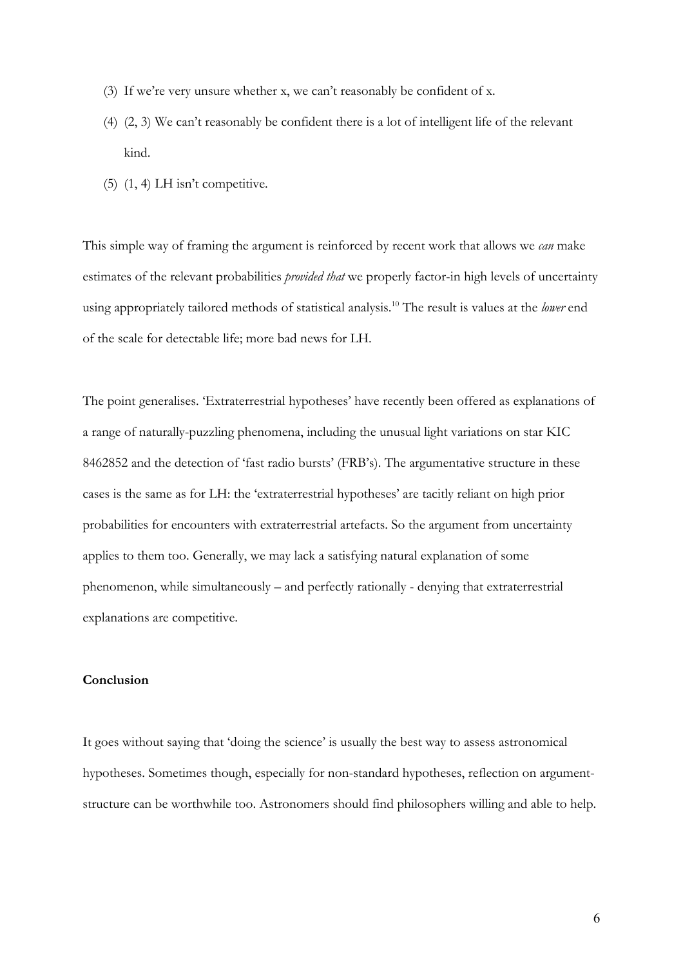- (3) If we're very unsure whether x, we can't reasonably be confident of x.
- (4) (2, 3) We can't reasonably be confident there is a lot of intelligent life of the relevant kind.
- $(5)$   $(1, 4)$  LH isn't competitive.

This simple way of framing the argument is reinforced by recent work that allows we *can* make estimates of the relevant probabilities *provided that* we properly factor-in high levels of uncertainty using appropriately tailored methods of statistical analysis.10 The result is values at the *lower* end of the scale for detectable life; more bad news for LH.

The point generalises. 'Extraterrestrial hypotheses' have recently been offered as explanations of a range of naturally-puzzling phenomena, including the unusual light variations on star KIC 8462852 and the detection of 'fast radio bursts' (FRB's). The argumentative structure in these cases is the same as for LH: the 'extraterrestrial hypotheses' are tacitly reliant on high prior probabilities for encounters with extraterrestrial artefacts. So the argument from uncertainty applies to them too. Generally, we may lack a satisfying natural explanation of some phenomenon, while simultaneously – and perfectly rationally - denying that extraterrestrial explanations are competitive.

### **Conclusion**

It goes without saying that 'doing the science' is usually the best way to assess astronomical hypotheses. Sometimes though, especially for non-standard hypotheses, reflection on argumentstructure can be worthwhile too. Astronomers should find philosophers willing and able to help.